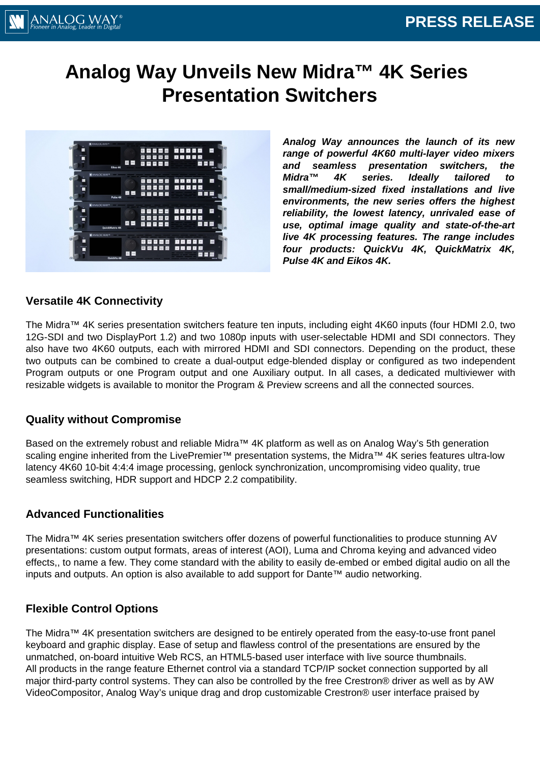# **Analog Way Unveils New Midra™ 4K Series Presentation Switchers**



**Analog Way announces the launch of its new range of powerful 4K60 multi-layer video mixers and seamless presentation switchers, the Midra™ 4K series. Ideally tailored to small/medium-sized fixed installations and live environments, the new series offers the highest reliability, the lowest latency, unrivaled ease of use, optimal image quality and state-of-the-art live 4K processing features. The range includes four products: QuickVu 4K, QuickMatrix 4K, Pulse 4K and Eikos 4K.**

### **Versatile 4K Connectivity**

The Midra™ 4K series presentation switchers feature ten inputs, including eight 4K60 inputs (four HDMI 2.0, two 12G-SDI and two DisplayPort 1.2) and two 1080p inputs with user-selectable HDMI and SDI connectors. They also have two 4K60 outputs, each with mirrored HDMI and SDI connectors. Depending on the product, these two outputs can be combined to create a dual-output edge-blended display or configured as two independent Program outputs or one Program output and one Auxiliary output. In all cases, a dedicated multiviewer with resizable widgets is available to monitor the Program & Preview screens and all the connected sources.

#### **Quality without Compromise**

Based on the extremely robust and reliable Midra™ 4K platform as well as on Analog Way's 5th generation scaling engine inherited from the LivePremier<sup>™</sup> presentation systems, the Midra<sup>™</sup> 4K series features ultra-low latency 4K60 10-bit 4:4:4 image processing, genlock synchronization, uncompromising video quality, true seamless switching, HDR support and HDCP 2.2 compatibility.

## **Advanced Functionalities**

The Midra™ 4K series presentation switchers offer dozens of powerful functionalities to produce stunning AV presentations: custom output formats, areas of interest (AOI), Luma and Chroma keying and advanced video effects,, to name a few. They come standard with the ability to easily de-embed or embed digital audio on all the inputs and outputs. An option is also available to add support for Dante™ audio networking.

## **Flexible Control Options**

The Midra™ 4K presentation switchers are designed to be entirely operated from the easy-to-use front panel keyboard and graphic display. Ease of setup and flawless control of the presentations are ensured by the unmatched, on-board intuitive Web RCS, an HTML5-based user interface with live source thumbnails. All products in the range feature Ethernet control via a standard TCP/IP socket connection supported by all major third-party control systems. They can also be controlled by the free Crestron® driver as well as by AW VideoCompositor, Analog Way's unique drag and drop customizable Crestron® user interface praised by